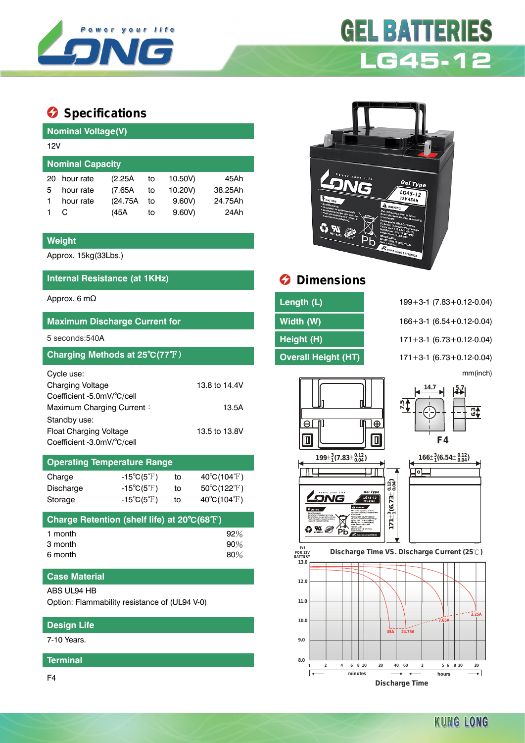

# **GEL BATTERIES LG45-12**

# **Specifications**

| <b>Nominal Voltage(V)</b> |          |    |         |         |  |  |  |  |
|---------------------------|----------|----|---------|---------|--|--|--|--|
| 12V                       |          |    |         |         |  |  |  |  |
| <b>Nominal Capacity</b>   |          |    |         |         |  |  |  |  |
| hour rate                 | (2.25A)  | to | 10.50V) | 45Ah    |  |  |  |  |
| hour rate                 | (7.65A)  | to | 10.20V) | 38.25Ah |  |  |  |  |
| hour rate                 | (24.75A) | to | 9.60V   | 24.75Ah |  |  |  |  |
| C                         | (45A     | to | 9.60V   | 24Ah    |  |  |  |  |
|                           |          |    |         |         |  |  |  |  |

### **Weight**

Approx. 15kg(33Lbs.)

# **Internal Resistance (at 1KHz) Dimensions**

### **Maximum Discharge Current for Width (W)** 166+3-1 (6.54+0.12-0.04)

# **Charging Methods at 25°C(77°F) Overall Height (HT)** 171+3-1 (6.73+0.12-0.04)

| Cycle use:                    |               |
|-------------------------------|---------------|
| <b>Charging Voltage</b>       | 13.8 to 14.4V |
| Coefficient -5.0mV/°C/cell    |               |
| Maximum Charging Current:     | 13.5A         |
| Standby use:                  |               |
| <b>Float Charging Voltage</b> | 13.5 to 13.8V |
| Coefficient -3.0mV/°C/cell    |               |

# **Operating Temperature Range**

| $-15^{\circ}C(5^{\circ}F)$ | to | $40^{\circ}$ C(104 $^{\circ}$ F) |
|----------------------------|----|----------------------------------|
| $-15^{\circ}C(5^{\circ}F)$ | to | $50^{\circ}$ C(122 $^{\circ}$ F) |
| $-15^{\circ}C(5^{\circ}F)$ | to | $40^{\circ}C(104^{\circ}F)$      |
|                            |    |                                  |

| Charge Retention (shelf life) at 20°C(68°F) |        |
|---------------------------------------------|--------|
| 1 month                                     | $92\%$ |
| 3 month                                     | $90\%$ |
| 6 month                                     | $80\%$ |

# **Case Material**

#### ABS UL94 HB

Option: Flammability resistance of (UL94 V-0)

# **Design Life**

7-10 Years.

### **Terminal**

F4



| Approx. 6 mΩ                                | Length (L)                 | $199 + 3 - 1$ (7.83 + 0.12 - 0.04) |
|---------------------------------------------|----------------------------|------------------------------------|
| <b>Maximum Discharge Current for</b>        | Width (W)                  | $166 + 3 - 1$ (6.54 + 0.12 - 0.04) |
| 5 seconds:540A                              | Height (H)                 | $171 + 3 - 1$ (6.73 + 0.12 - 0.04) |
| Charging Methods at 25°C(77°F) <sup>1</sup> | <b>Overall Height (HT)</b> | $171+3-1$ (6.73 + 0.12-0.04)       |

5 seconds:540A **Height (H)** 171+3-1 (6.73+0.12-0.04) mm(inch)













**KUNG LONG**